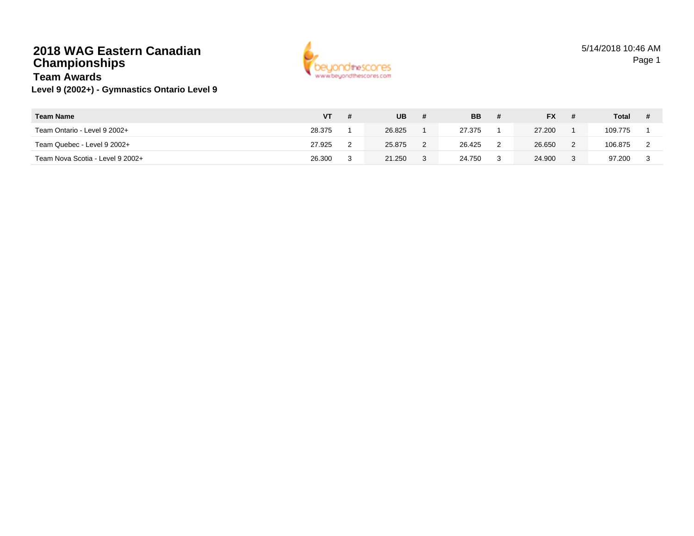## **2018 WAG Eastern CanadianChampionships**



#### **Level 9 (2002+) - Gymnastics Ontario Level 9 Team Awards**

| <b>Team Name</b>                 | VТ     | <b>UB</b> | <b>BB</b> | # | <b>FX</b> | <b>Total</b> |  |
|----------------------------------|--------|-----------|-----------|---|-----------|--------------|--|
| Team Ontario - Level 9 2002+     | 28.375 | 26.825    | 27.375    |   | 27.200    | 109.775      |  |
| Team Quebec - Level 9 2002+      | 27.925 | 25.875    | 26.425    | っ | 26.650    | 106.875      |  |
| Team Nova Scotia - Level 9 2002+ | 26.300 | 21.250    | 24.750    | 3 | 24.900    | 97.200       |  |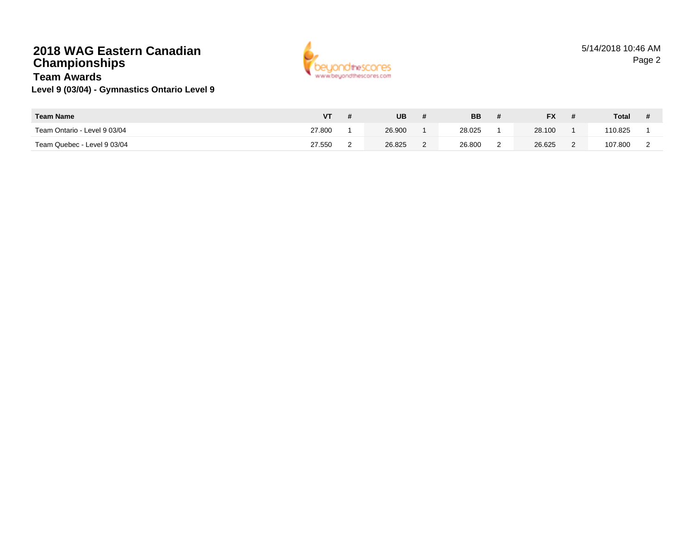# **2018 WAG Eastern CanadianChampionships**



#### **Level 9 (03/04) - Gymnastics Ontario Level 9 Team Awards**

| <b>Team Name</b>             |        | <b>UB</b> | <b>BB</b> | <b>FX</b> | <b>Total</b> |  |
|------------------------------|--------|-----------|-----------|-----------|--------------|--|
| Team Ontario - Level 9 03/04 | 27.800 | 26.900    | 28.025    | 28.100    | 110.825      |  |
| Team Quebec - Level 9 03/04  | 27.550 | 26.825    | 26,800    | 26.625    | 107.800      |  |